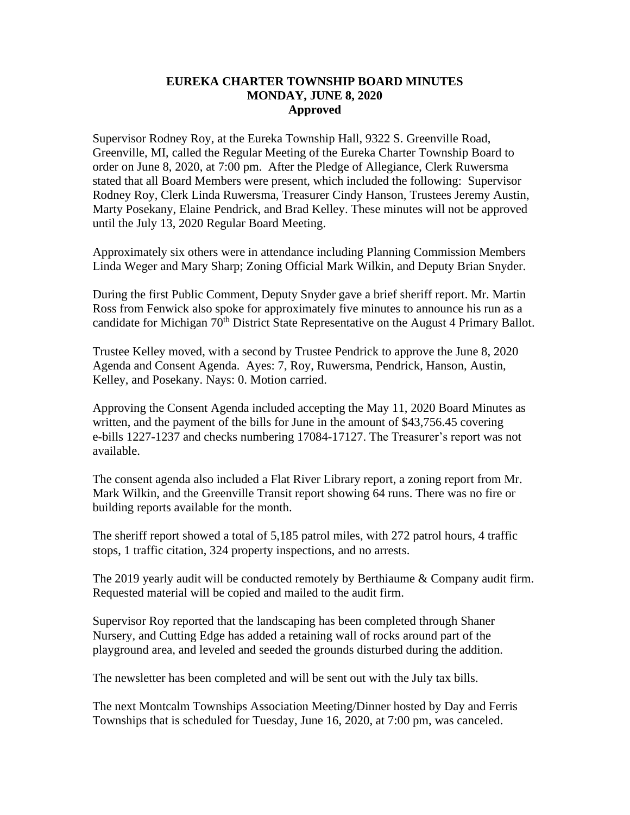## **EUREKA CHARTER TOWNSHIP BOARD MINUTES MONDAY, JUNE 8, 2020 Approved**

Supervisor Rodney Roy, at the Eureka Township Hall, 9322 S. Greenville Road, Greenville, MI, called the Regular Meeting of the Eureka Charter Township Board to order on June 8, 2020, at 7:00 pm. After the Pledge of Allegiance, Clerk Ruwersma stated that all Board Members were present, which included the following: Supervisor Rodney Roy, Clerk Linda Ruwersma, Treasurer Cindy Hanson, Trustees Jeremy Austin, Marty Posekany, Elaine Pendrick, and Brad Kelley. These minutes will not be approved until the July 13, 2020 Regular Board Meeting.

Approximately six others were in attendance including Planning Commission Members Linda Weger and Mary Sharp; Zoning Official Mark Wilkin, and Deputy Brian Snyder.

During the first Public Comment, Deputy Snyder gave a brief sheriff report. Mr. Martin Ross from Fenwick also spoke for approximately five minutes to announce his run as a candidate for Michigan 70<sup>th</sup> District State Representative on the August 4 Primary Ballot.

Trustee Kelley moved, with a second by Trustee Pendrick to approve the June 8, 2020 Agenda and Consent Agenda. Ayes: 7, Roy, Ruwersma, Pendrick, Hanson, Austin, Kelley, and Posekany. Nays: 0. Motion carried.

Approving the Consent Agenda included accepting the May 11, 2020 Board Minutes as written, and the payment of the bills for June in the amount of \$43,756.45 covering e-bills 1227-1237 and checks numbering 17084-17127. The Treasurer's report was not available.

The consent agenda also included a Flat River Library report, a zoning report from Mr. Mark Wilkin, and the Greenville Transit report showing 64 runs. There was no fire or building reports available for the month.

The sheriff report showed a total of 5,185 patrol miles, with 272 patrol hours, 4 traffic stops, 1 traffic citation, 324 property inspections, and no arrests.

The 2019 yearly audit will be conducted remotely by Berthiaume & Company audit firm. Requested material will be copied and mailed to the audit firm.

Supervisor Roy reported that the landscaping has been completed through Shaner Nursery, and Cutting Edge has added a retaining wall of rocks around part of the playground area, and leveled and seeded the grounds disturbed during the addition.

The newsletter has been completed and will be sent out with the July tax bills.

The next Montcalm Townships Association Meeting/Dinner hosted by Day and Ferris Townships that is scheduled for Tuesday, June 16, 2020, at 7:00 pm, was canceled.